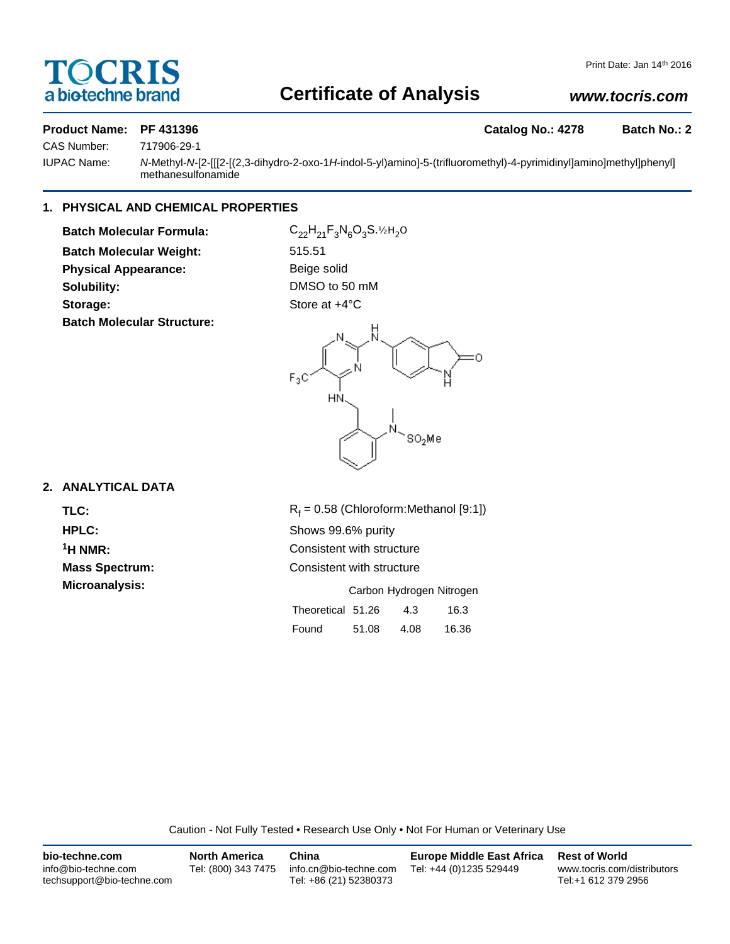# OCRIS a biotechne brand

# **Certificate of Analysis**

# *www.tocris.com*

## **Product Name: PF 431396 Catalog No.: 4278 Batch No.: 2**

CAS Number: 717906-29-1

IUPAC Name: *N*-Methyl-*N*-[2-[[[2-[(2,3-dihydro-2-oxo-1*H*-indol-5-yl)amino]-5-(trifluoromethyl)-4-pyrimidinyl]amino]methyl]phenyl] methanesulfonamide

# **1. PHYSICAL AND CHEMICAL PROPERTIES**

**Batch Molecular Formula:** C<sub>22</sub>H<sub>21</sub>F<sub>3</sub>N<sub>6</sub>O<sub>3</sub>S.<sup>1/2H</sup><sub>2</sub>O **Batch Molecular Weight:** 515.51 **Physical Appearance:** Beige solid **Solubility:** DMSO to 50 mM Storage: Store at  $+4^{\circ}$ C **Batch Molecular Structure:**



# **2. ANALYTICAL DATA**

TLC: R<sub>f</sub> **HPLC:** Shows 99.6% purity

 $R_f = 0.58$  (Chloroform:Methanol [9:1]) **1H NMR:** Consistent with structure **Mass Spectrum:** Consistent with structure **Microanalysis:** Microanalysis: Exercise 2012 Carbon Hydrogen Nitrogen Theoretical 51.26 4.3 16.3 Found 51.08 4.08 16.36

Caution - Not Fully Tested • Research Use Only • Not For Human or Veterinary Use

| bio-techne.com                                    | <b>North America</b> | China                                            | <b>Europe Middle East Africa</b> | <b>Rest of World</b>                               |
|---------------------------------------------------|----------------------|--------------------------------------------------|----------------------------------|----------------------------------------------------|
| info@bio-techne.com<br>techsupport@bio-techne.com | Tel: (800) 343 7475  | info.cn@bio-techne.com<br>Tel: +86 (21) 52380373 | Tel: +44 (0)1235 529449          | www.tocris.com/distributors<br>Tel:+1 612 379 2956 |